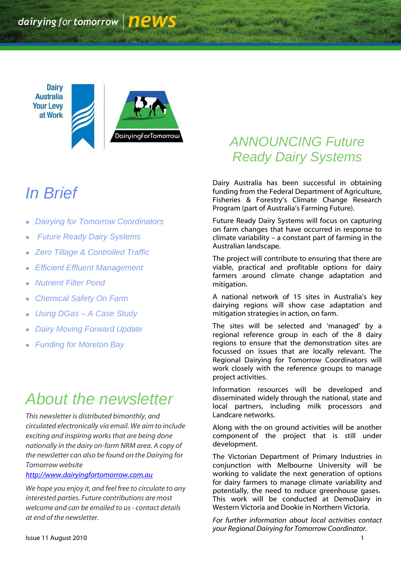**Dairy Australia Your Levy** at Work



# *In Brief*

- *Dairying for Tomorrow Coordinators*
- *Future Ready Dairy Systems*
- *Zero Tillage & Controlled Traffic*
- *Efficient Effluent Management*
- *Nutrient Filter Pond*
- *Chemical Safety On Farm*
- *Using DGas – A Case Study*
- *Dairy Moving Forward Update*
- *Funding for Moreton Bay*

# *About the newsletter*

*This newsletter is distributed bimonthly, and circulated electronically via email. We aim to include exciting and inspiring works that are being done nationally in the dairy on-farm NRM area. A copy of the newsletter can also be found on the Dairying for Tomorrow website* 

*[http://www.dairyingfortomorrow.com.au](http://www.dairyingfortomorrow.com.au/)* 

*We hope you enjoy it, and feel free to circulate to any interested parties. Future contributions are most welcome and can be emailed to us- contact details at end of the newsletter.*

## *ANNOUNCING Future Ready Dairy Systems*

Dairy Australia has been successful in obtaining funding from the Federal Department of Agriculture, Fisheries & Forestry"s Climate Change Research Program (part of Australia's Farming Future).

Future Ready Dairy Systems will focus on capturing on farm changes that have occurred in response to climate variability – a constant part of farming in the Australian landscape.

The project will contribute to ensuring that there are viable, practical and profitable options for dairy farmers around climate change adaptation and mitigation.

A national network of 15 sites in Australia"s key dairying regions will show case adaptation and mitigation strategies in action, on farm.

The sites will be selected and "managed" by a regional reference group in each of the 8 dairy regions to ensure that the demonstration sites are focussed on issues that are locally relevant. The Regional Dairying for Tomorrow Coordinators will work closely with the reference groups to manage project activities.

Information resources will be developed and disseminated widely through the national, state and local partners, including milk processors and Landcare networks.

Along with the on ground activities will be another component of the project that is still under development.

The Victorian Department of Primary Industries in conjunction with Melbourne University will be working to validate the next generation of options for dairy farmers to manage climate variability and potentially, the need to reduce greenhouse gases. This work will be conducted at DemoDairy in Western Victoria and Dookie in Northern Victoria.

*For further information about local activities contact your Regional Dairying for Tomorrow Coordinator.*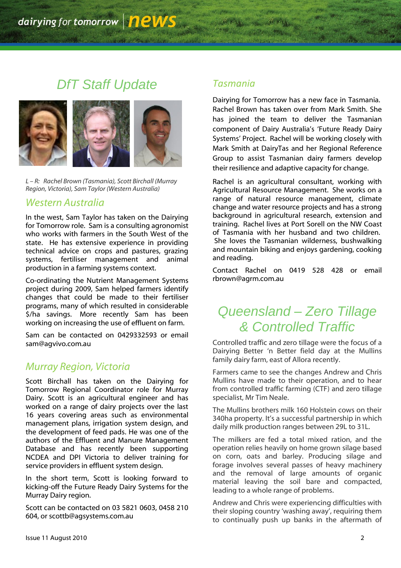## *DfT Staff Update*



*L – R: Rachel Brown (Tasmania), Scott Birchall (Murray Region, Victoria), Sam Taylor (Western Australia)*

### *Western Australia*

In the west, Sam Taylor has taken on the Dairying for Tomorrow role. Sam is a consulting agronomist who works with farmers in the South West of the state. He has extensive experience in providing technical advice on crops and pastures, grazing systems, fertiliser management and animal production in a farming systems context.

Co-ordinating the Nutrient Management Systems project during 2009, Sam helped farmers identify changes that could be made to their fertiliser programs, many of which resulted in considerable \$/ha savings. More recently Sam has been working on increasing the use of effluent on farm.

Sam can be contacted on 0429332593 or email sam@agvivo.com.au

### *Murray Region, Victoria*

Scott Birchall has taken on the Dairying for Tomorrow Regional Coordinator role for Murray Dairy. Scott is an agricultural engineer and has worked on a range of dairy projects over the last 16 years covering areas such as environmental management plans, irrigation system design, and the development of feed pads. He was one of the authors of the Effluent and Manure Management Database and has recently been supporting NCDEA and DPI Victoria to deliver training for service providers in effluent system design.

In the short term, Scott is looking forward to kicking-off the Future Ready Dairy Systems for the Murray Dairy region.

Scott can be contacted on 03 5821 0603, 0458 210 604, or scottb@agsystems.com.au

### *Tasmania*

Dairying for Tomorrow has a new face in Tasmania. Rachel Brown has taken over from Mark Smith. She has joined the team to deliver the Tasmanian component of Dairy Australia's 'Future Ready Dairy Systems" Project. Rachel will be working closely with Mark Smith at DairyTas and her Regional Reference Group to assist Tasmanian dairy farmers develop their resilience and adaptive capacity for change.

Rachel is an agricultural consultant, working with Agricultural Resource Management. She works on a range of natural resource management, climate change and water resource projects and has a strong background in agricultural research, extension and training. Rachel lives at Port Sorell on the NW Coast of Tasmania with her husband and two children. She loves the Tasmanian wilderness, bushwalking and mountain biking and enjoys gardening, cooking and reading.

Contact Rachel on 0419 528 428 or email [rbrown@agrm.com.au](mailto:rbrown@agrm.com.au)

### *Queensland – Zero Tillage & Controlled Traffic*

Controlled traffic and zero tillage were the focus of a Dairying Better "n Better field day at the Mullins family dairy farm, east of Allora recently.

Farmers came to see the changes Andrew and Chris Mullins have made to their operation, and to hear from controlled traffic farming (CTF) and zero tillage specialist, Mr Tim Neale.

The Mullins brothers milk 160 Holstein cows on their 340ha property. It's a successful partnership in which daily milk production ranges between 29L to 31L.

The milkers are fed a total mixed ration, and the operation relies heavily on home grown silage based on corn, oats and barley. Producing silage and forage involves several passes of heavy machinery and the removal of large amounts of organic material leaving the soil bare and compacted, leading to a whole range of problems.

Andrew and Chris were experiencing difficulties with their sloping country 'washing away', requiring them to continually push up banks in the aftermath of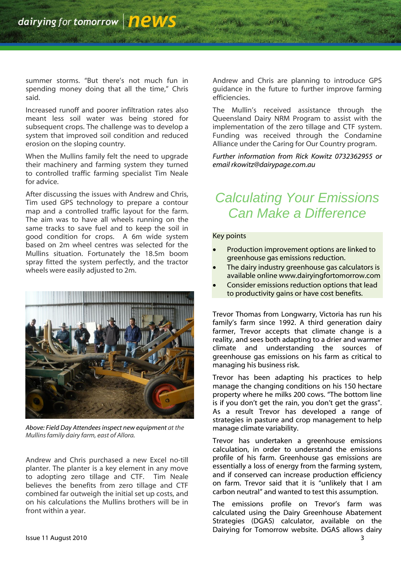summer storms. "But there's not much fun in spending money doing that all the time," Chris said.

Increased runoff and poorer infiltration rates also meant less soil water was being stored for subsequent crops. The challenge was to develop a system that improved soil condition and reduced erosion on the sloping country.

When the Mullins family felt the need to upgrade their machinery and farming system they turned to controlled traffic farming specialist Tim Neale for advice.

After discussing the issues with Andrew and Chris, Tim used GPS technology to prepare a contour map and a controlled traffic layout for the farm. The aim was to have all wheels running on the same tracks to save fuel and to keep the soil in good condition for crops. A 6m wide system based on 2m wheel centres was selected for the Mullins situation. Fortunately the 18.5m boom spray fitted the system perfectly, and the tractor wheels were easily adjusted to 2m.



*Above: Field Day Attendees inspect new equipment at the Mullins family dairy farm, east of Allora.*

Andrew and Chris purchased a new Excel no-till planter. The planter is a key element in any move to adopting zero tillage and CTF. Tim Neale believes the benefits from zero tillage and CTF combined far outweigh the initial set up costs, and on his calculations the Mullins brothers will be in front within a year.

Andrew and Chris are planning to introduce GPS guidance in the future to further improve farming efficiencies.

The Mullin"s received assistance through the Queensland Dairy NRM Program to assist with the implementation of the zero tillage and CTF system. Funding was received through the Condamine Alliance under the Caring for Our Country program.

*Further information from Rick Kowitz 0732362955 or email rkowitz@dairypage.com.au*

## *Calculating Your Emissions Can Make a Difference*

#### Key points

- Production improvement options are linked to greenhouse gas emissions reduction.
- The dairy industry greenhouse gas calculators is available online www.dairyingfortomorrow.com
- Consider emissions reduction options that lead to productivity gains or have cost benefits.

Trevor Thomas from Longwarry, Victoria has run his family's farm since 1992. A third generation dairy farmer, Trevor accepts that climate change is a reality, and sees both adapting to a drier and warmer climate and understanding the sources of greenhouse gas emissions on his farm as critical to managing his business risk.

Trevor has been adapting his practices to help manage the changing conditions on his 150 hectare property where he milks 200 cows. "The bottom line is if you don't get the rain, you don't get the grass". As a result Trevor has developed a range of strategies in pasture and crop management to help manage climate variability.

Trevor has undertaken a greenhouse emissions calculation, in order to understand the emissions profile of his farm. Greenhouse gas emissions are essentially a loss of energy from the farming system, and if conserved can increase production efficiency on farm. Trevor said that it is "unlikely that I am carbon neutral" and wanted to test this assumption.

The emissions profile on Trevor's farm was calculated using the Dairy Greenhouse Abatement Strategies (DGAS) calculator, available on the Dairying for Tomorrow website. DGAS allows dairy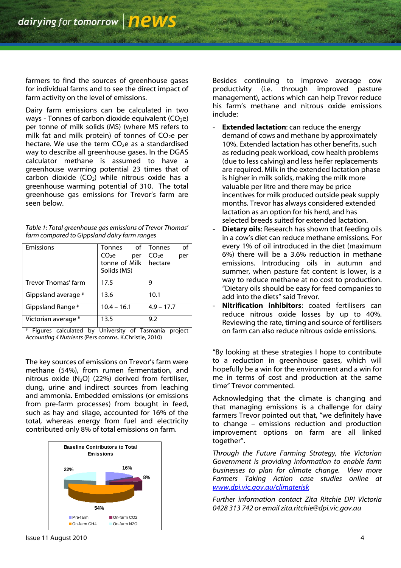farmers to find the sources of greenhouse gases for individual farms and to see the direct impact of farm activity on the level of emissions.

Dairy farm emissions can be calculated in two ways - Tonnes of carbon dioxide equivalent  $(CO_2e)$ per tonne of milk solids (MS) (where MS refers to milk fat and milk protein) of tonnes of  $CO<sub>2</sub>e$  per hectare. We use the term  $CO<sub>2</sub>e$  as a standardised way to describe all greenhouse gases. In the DGAS calculator methane is assumed to have a greenhouse warming potential 23 times that of carbon dioxide  $(CO<sub>2</sub>)$  while nitrous oxide has a greenhouse warming potential of 310. The total greenhouse gas emissions for Trevor"s farm are seen below.

| Table 1: Total greenhouse gas emissions of Trevor Thomas' |
|-----------------------------------------------------------|
| farm compared to Gippsland dairy farm ranges              |

| Emissions           | of<br>Tonnes<br>CO <sub>2</sub> e<br>per<br>tonne of Milk<br>Solids (MS) | <b>Tonnes</b><br>of<br>CO <sub>2</sub> e<br>per<br>hectare |
|---------------------|--------------------------------------------------------------------------|------------------------------------------------------------|
| Trevor Thomas' farm | 17.5                                                                     | 9                                                          |
| Gippsland average # | 13.6                                                                     | 10.1                                                       |
| Gippsland Range #   | $10.4 - 16.1$                                                            | $4.9 - 17.7$                                               |
| Victorian average # | 13.5                                                                     | 9.2                                                        |

# Figures calculated by University of Tasmania project *Accounting 4 Nutrients* (Pers comms. K.Christie, 2010)

The key sources of emissions on Trevor"s farm were methane (54%), from rumen fermentation, and nitrous oxide  $(N_2O)$  (22%) derived from fertiliser, dung, urine and indirect sources from leaching and ammonia. Embedded emissions (or emissions from pre-farm processes) from bought in feed, such as hay and silage, accounted for 16% of the total, whereas energy from fuel and electricity contributed only 8% of total emissions on farm.



Besides continuing to improve average cow productivity (i.e. through improved pasture management), actions which can help Trevor reduce his farm"s methane and nitrous oxide emissions include:

- **Extended lactation:** can reduce the energy demand of cows and methane by approximately 10%. Extended lactation has other benefits, such as reducing peak workload, cow health problems (due to less calving) and less heifer replacements are required. Milk in the extended lactation phase is higher in milk solids, making the milk more valuable per litre and there may be price incentives for milk produced outside peak supply months. Trevor has always considered extended lactation as an option for his herd, and has selected breeds suited for extended lactation.
- **Dietary oils:** Research has shown that feeding oils in a cow"s diet can reduce methane emissions. For every 1% of oil introduced in the diet (maximum 6%) there will be a 3.6% reduction in methane emissions. Introducing oils in autumn and summer, when pasture fat content is lower, is a way to reduce methane at no cost to production. "Dietary oils should be easy for feed companies to add into the diets" said Trevor.
- **Nitrification inhibitors**: coated fertilisers can reduce nitrous oxide losses by up to 40%. Reviewing the rate, timing and source of fertilisers on farm can also reduce nitrous oxide emissions.

"By looking at these strategies I hope to contribute to a reduction in greenhouse gases, which will hopefully be a win for the environment and a win for me in terms of cost and production at the same time" Trevor commented.

Acknowledging that the climate is changing and that managing emissions is a challenge for dairy farmers Trevor pointed out that, "we definitely have to change – emissions reduction and production improvement options on farm are all linked together".

*Through the Future Farming Strategy, the Victorian Government is providing information to enable farm businesses to plan for climate change. View more Farmers Taking Action case studies online at [www.dpi.vic.gov.au/climaterisk](http://www.dpi.vic.gov.au/climaterisk)*

*Further information contact Zita Ritchie DPI Victoria 0428 313 742 or email zita.ritchie@dpi.vic.gov.au*

Issue 11 August 2010 4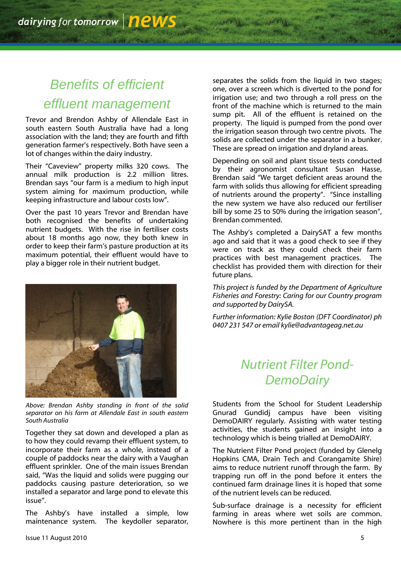## *Benefits of efficient effluent management*

Trevor and Brendon Ashby of Allendale East in south eastern South Australia have had a long association with the land; they are fourth and fifth generation farmer"s respectively. Both have seen a lot of changes within the dairy industry.

Their "Caveview" property milks 320 cows. The annual milk production is 2.2 million litres. Brendan says "our farm is a medium to high input system aiming for maximum production, while keeping infrastructure and labour costs low".

Over the past 10 years Trevor and Brendan have both recognised the benefits of undertaking nutrient budgets. With the rise in fertiliser costs about 18 months ago now, they both knew in order to keep their farm"s pasture production at its maximum potential, their effluent would have to play a bigger role in their nutrient budget.



*Above: Brendan Ashby standing in front of the solid separator on his farm at Allendale East in south eastern South Australia*

Together they sat down and developed a plan as to how they could revamp their effluent system, to incorporate their farm as a whole, instead of a couple of paddocks near the dairy with a Vaughan effluent sprinkler. One of the main issues Brendan said, "Was the liquid and solids were pugging our paddocks causing pasture deterioration, so we installed a separator and large pond to elevate this issue".

The Ashby"s have installed a simple, low maintenance system. The keydoller separator, separates the solids from the liquid in two stages; one, over a screen which is diverted to the pond for irrigation use; and two through a roll press on the front of the machine which is returned to the main sump pit. All of the effluent is retained on the property. The liquid is pumped from the pond over the irrigation season through two centre pivots. The solids are collected under the separator in a bunker. These are spread on irrigation and dryland areas.

Depending on soil and plant tissue tests conducted by their agronomist consultant Susan Hasse, Brendan said "We target deficient areas around the farm with solids thus allowing for efficient spreading of nutrients around the property". "Since installing the new system we have also reduced our fertiliser bill by some 25 to 50% during the irrigation season", Brendan commented.

The Ashby's completed a DairySAT a few months ago and said that it was a good check to see if they were on track as they could check their farm practices with best management practices. The checklist has provided them with direction for their future plans.

*This project is funded by the Department of Agriculture Fisheries and Forestry: Caring for our Country program and supported by DairySA.*

*Further information: Kylie Boston (DFT Coordinator) ph 0407 231 547 or email kylie@advantageag.net.au*

### *Nutrient Filter Pond-DemoDairy*

Students from the School for Student Leadership Gnurad Gundidj campus have been visiting DemoDAIRY regularly. Assisting with water testing activities, the students gained an insight into a technology which is being trialled at DemoDAIRY.

The Nutrient Filter Pond project (funded by Glenelg Hopkins CMA, Drain Tech and Corangamite Shire) aims to reduce nutrient runoff through the farm. By trapping run off in the pond before it enters the continued farm drainage lines it is hoped that some of the nutrient levels can be reduced.

Sub-surface drainage is a necessity for efficient farming in areas where wet soils are common. Nowhere is this more pertinent than in the high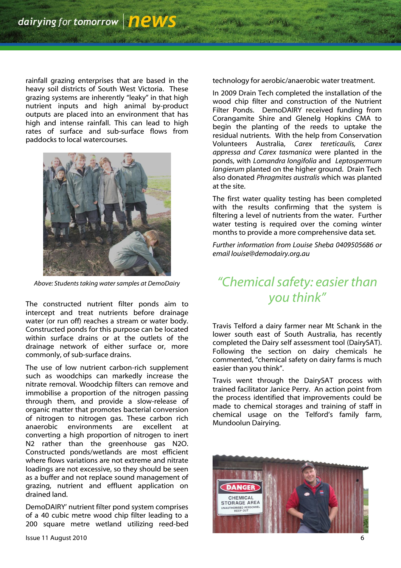rainfall grazing enterprises that are based in the heavy soil districts of South West Victoria. These grazing systems are inherently "leaky" in that high nutrient inputs and high animal by-product outputs are placed into an environment that has high and intense rainfall. This can lead to high rates of surface and sub-surface flows from paddocks to local watercourses.



*Above: Students taking water samples at DemoDairy*

The constructed nutrient filter ponds aim to intercept and treat nutrients before drainage water (or run off) reaches a stream or water body. Constructed ponds for this purpose can be located within surface drains or at the outlets of the drainage network of either surface or, more commonly, of sub-surface drains.

The use of low nutrient carbon-rich supplement such as woodchips can markedly increase the nitrate removal. Woodchip filters can remove and immobilise a proportion of the nitrogen passing through them, and provide a slow-release of organic matter that promotes bacterial conversion of nitrogen to nitrogen gas. These carbon rich<br>anaerobic environments are excellent at environments are excellent at converting a high proportion of nitrogen to inert N2 rather than the greenhouse gas N2O. Constructed ponds/wetlands are most efficient where flows variations are not extreme and nitrate loadings are not excessive, so they should be seen as a buffer and not replace sound management of grazing, nutrient and effluent application on drained land.

DemoDAIRY" nutrient filter pond system comprises of a 40 cubic metre wood chip filter leading to a 200 square metre wetland utilizing reed-bed technology for aerobic/anaerobic water treatment.

In 2009 Drain Tech completed the installation of the wood chip filter and construction of the Nutrient Filter Ponds. DemoDAIRY received funding from Corangamite Shire and Glenelg Hopkins CMA to begin the planting of the reeds to uptake the residual nutrients. With the help from Conservation Volunteers Australia, *Carex tereticaulis, Carex appressa and Carex tasmanica* were planted in the ponds, with *Lomandra longifolia* and *Leptospermum langierum* planted on the higher ground. Drain Tech also donated *Phragmites australis* which was planted at the site.

The first water quality testing has been completed with the results confirming that the system is filtering a level of nutrients from the water. Further water testing is required over the coming winter months to provide a more comprehensive data set.

*Further information from Louise Sheba 0409505686 or email louise@demodairy.org.au*

### *"Chemical safety: easier than you think"*

Travis Telford a dairy farmer near Mt Schank in the lower south east of South Australia, has recently completed the Dairy self assessment tool (DairySAT). Following the section on dairy chemicals he commented, "chemical safety on dairy farms is much easier than you think".

Travis went through the DairySAT process with trained facilitator Janice Perry. An action point from the process identified that improvements could be made to chemical storages and training of staff in chemical usage on the Telford"s family farm, Mundoolun Dairying.

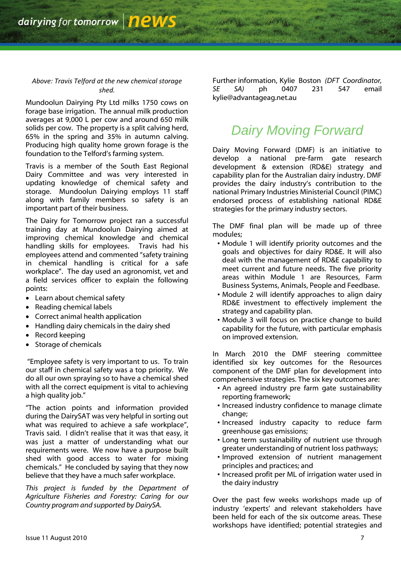#### *Above: Travis Telford at the new chemical storage shed.*

Mundoolun Dairying Pty Ltd milks 1750 cows on forage base irrigation. The annual milk production averages at 9,000 L per cow and around 650 milk solids per cow. The property is a split calving herd, 65% in the spring and 35% in autumn calving. Producing high quality home grown forage is the foundation to the Telford's farming system.

Travis is a member of the South East Regional Dairy Committee and was very interested in updating knowledge of chemical safety and storage. Mundoolun Dairying employs 11 staff along with family members so safety is an important part of their business.

The Dairy for Tomorrow project ran a successful training day at Mundoolun Dairying aimed at improving chemical knowledge and chemical handling skills for employees. Travis had his employees attend and commented "safety training in chemical handling is critical for a safe workplace". The day used an agronomist, vet and a field services officer to explain the following points:

- Learn about chemical safety
- Reading chemical labels
- Correct animal health application
- Handling dairy chemicals in the dairy shed
- Record keeping
- Storage of chemicals

"Employee safety is very important to us. To train our staff in chemical safety was a top priority. We do all our own spraying so to have a chemical shed with all the correct equipment is vital to achieving a high quality job."

"The action points and information provided during the DairySAT was very helpful in sorting out what was required to achieve a safe workplace", Travis said. I didn"t realise that it was that easy, it was just a matter of understanding what our requirements were. We now have a purpose built shed with good access to water for mixing chemicals." He concluded by saying that they now believe that they have a much safer workplace.

*This project is funded by the Department of Agriculture Fisheries and Forestry: Caring for our Country program and supported by DairySA.*

Further information, Kylie Boston *(DFT Coordinator, SE SA)* ph 0407 231 547 email kylie@advantageag.net.au

### *Dairy Moving Forward*

Dairy Moving Forward (DMF) is an initiative to develop a national pre-farm gate research development & extension (RD&E) strategy and capability plan for the Australian dairy industry. DMF provides the dairy industry"s contribution to the national Primary Industries Ministerial Council (PIMC) endorsed process of establishing national RD&E strategies for the primary industry sectors.

The DMF final plan will be made up of three modules;

- Module 1 will identify priority outcomes and the goals and objectives for dairy RD&E. It will also deal with the management of RD&E capability to meet current and future needs. The five priority areas within Module 1 are Resources, Farm Business Systems, Animals, People and Feedbase.
- Module 2 will identify approaches to align dairy RD&E investment to effectively implement the strategy and capability plan.
- Module 3 will focus on practice change to build capability for the future, with particular emphasis on improved extension.

In March 2010 the DMF steering committee identified six key outcomes for the Resources component of the DMF plan for development into comprehensive strategies. The six key outcomes are:

- An agreed industry pre farm gate sustainability reporting framework;
- Increased industry confidence to manage climate change;
- Increased industry capacity to reduce farm greenhouse gas emissions;
- Long term sustainability of nutrient use through greater understanding of nutrient loss pathways;
- Improved extension of nutrient management principles and practices; and
- Increased profit per ML of irrigation water used in the dairy industry

Over the past few weeks workshops made up of industry "experts" and relevant stakeholders have been held for each of the six outcome areas. These workshops have identified; potential strategies and